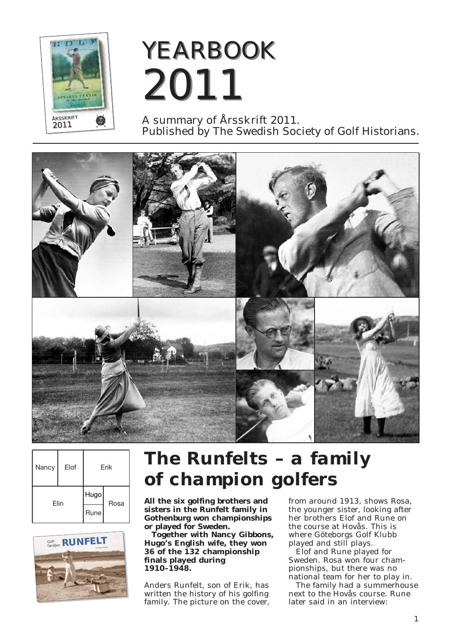

# *YEARBOOK YEARBOOK 2011 2011*

A summary of Årsskrift 2011. Published by The Swedish Society of Golf Historians.



| Nancy | Elof | Erik         |      |
|-------|------|--------------|------|
| Flin  |      | Hugo<br>Rune | Rosa |



## *The Runfelts – a family of champion golfers*

**All the six golfing brothers and sisters in the Runfelt family in Gothenburg won championships or played for Sweden.** 

**Together with Nancy Gibbons, Hugo's English wife, they won 36 of the 132 champion ship finals played during 1910–1948.**

Anders Runfelt, son of Erik, has written the history of his golfing family. The picture on the cover, from around 1913, shows Rosa, the younger sister, looking after her brothers Elof and Rune on the course at Hovås. This is where Göteborgs Golf Klubb played and still plays.

Elof and Rune played for Sweden. Rosa won four championships, but there was no national team for her to play in.

The family had a summerhouse next to the Hovås course. Rune later said in an interview: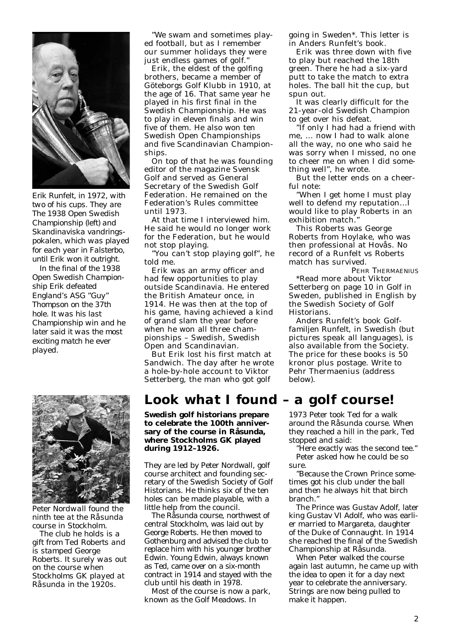

*Erik Runfelt, in 1972, with two of his cups. They are The 1938 Open Swedish Championship (left) and Skandinaviska vandringspokalen, which was played for each year in Falsterbo, until Erik won it outright.*

*In the final of the 1938 Open Swedish Champion ship Erik defeated England's ASG "Guy" Thompson on the 37th hole. It was his last Championship win and he later said it was the most exciting match he ever played.*



*Peter Nordwall found the ninth tee at the Råsunda course in Stockholm.*

*The club he holds is a gift from Ted Roberts and is stamped George Roberts. It surely was out on the course when Stockholms GK played at Råsunda in the 1920s.*

"We swam and sometimes played football, but as I remember our summer holidays they were just endless games of golf."

Erik, the eldest of the golfing brothers, became a member of Göteborgs Golf Klubb in 1910, at the age of 16. That same year he played in his first final in the Swedish Championship. He was to play in eleven finals and win five of them. He also won ten Swedish Open Championships and five Scandinavian Championships.

On top of that he was founding editor of the magazine Svensk Golf and served as General Secretary of the Swedish Golf Federation. He remained on the Federation's Rules committee until 1973.

At that time I interviewed him. He said he would no longer work for the Federation, but he would not stop playing.

"You can't stop playing golf", he told me.

Erik was an army officer and had few opportunities to play outside Scandinavia. He entered the British Amateur once, in 1914. He was then at the top of his game, having achieved a kind of grand slam the year before when he won all three championships – Swedish, Swedish Open and Scandinavian.

But Erik lost his first match at Sandwich. The day after he wrote a hole-by-hole account to Viktor Setterberg, the man who got golf

#### *Look what I found – a golf course!*

**Swedish golf historians prepare to celebrate the 100th anniversary of the course in Råsunda, where Stockholms GK played during 1912–1926.** 

They are led by Peter Nordwall, golf course architect and founding secretary of the Swedish Society of Golf Historians. He thinks six of the ten holes can be made playable, with a little help from the council.

The Råsunda course, northwest of central Stockholm, was laid out by George Roberts. He then moved to Gothenburg and advised the club to replace him with his younger brother Edwin. Young Edwin, always known as Ted, came over on a six-month contract in 1914 and stayed with the club until his death in 1978.

Most of the course is now a park, known as the Golf Meadows. In

going in Sweden\*. This letter is in Anders Runfelt's book.

Erik was three down with five to play but reached the 18th green. There he had a six-yard putt to take the match to extra holes. The ball hit the cup, but spun out.

It was clearly difficult for the 21-year-old Swedish Champion to get over his defeat.

"If only I had had a friend with me, ... now I had to walk alone all the way, no one who said he was sorry when I missed, no one to cheer me on when I did some thing well", he wrote.

But the letter ends on a cheerful note:

"When I get home I must play well to defend my reputation...I would like to play Roberts in an exhibition match."

This Roberts was George Roberts from Hoylake, who was then professional at Hovås. No record of a Runfelt vs Roberts match has survived.

PEHR THERMAENIUS \*Read more about Viktor Setterberg on page 10 in *Golf in Sweden*, published in English by the Swedish Society of Golf Historians.

Anders Runfelt's book *Golf familjen Runfelt*, in Swedish (but pictures speak all languages), is also available from the Society. The price for these books is 50 kronor plus postage. Write to Pehr Thermaenius (address below).

1973 Peter took Ted for a walk around the Råsunda course. When they reached a hill in the park, Ted stopped and said:

"Here exactly was the second tee." Peter asked how he could be so sure.

"Because the Crown Prince sometimes got his club under the ball and then he always hit that birch branch."

The Prince was Gustav Adolf, later king Gustav VI Adolf, who was earlier married to Margareta, daughter of the Duke of Connaught. In 1914 she reached the final of the Swedish Championship at Råsunda.

When Peter walked the course again last autumn, he came up with the idea to open it for a day next year to celebrate the anniversary. Strings are now being pulled to make it happen.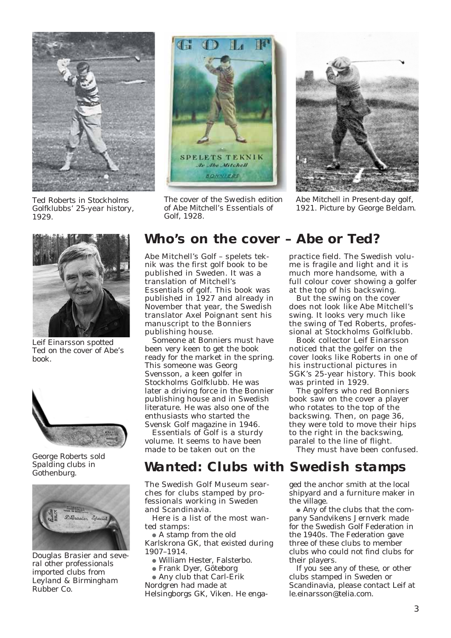

*Ted Roberts in Stockholms Golfklubbs' 25-year history, 1929.*



*Leif Einarsson spotted Ted on the cover of Abe's book.*



*George Roberts sold Spalding clubs in Gothenburg.*



*Douglas Brasier and several other professionals imported clubs from Leyland & Birmingham Rubber Co.*



*The cover of the Swedish edition of Abe Mitchell's Essentials of Golf, 1928.*



*Abe Mitchell in Present-day golf, 1921. Picture by George Beldam.*

#### *Who's on the cover – Abe or Ted?*

Abe Mitchell's *Golf – spelets teknik* was the first golf book to be published in Sweden. It was a translation of Mitchell's *Essentials of golf*. This book was published in 1927 and already in November that year, the Swedish translator Axel Poignant sent his manuscript to the Bonniers publishing house.

Someone at Bonniers must have been very keen to get the book ready for the market in the spring. This someone was Georg Svensson, a keen golfer in Stockholms Golfklubb. He was later a driving force in the Bonnier publishing house and in Swedish literature. He was also one of the enthusiasts who started the Svensk Golf magazine in 1946.

*Essentials of Golf* is a sturdy volume. It seems to have been made to be taken out on the

practice field. The Swedish volume is fragile and light and it is much more handsome, with a full colour cover showing a golfer at the top of his backswing.

But the swing on the cover does not look like Abe Mitchell's swing. It looks very much like the swing of Ted Roberts, professional at Stockholms Golfklubb.

Book collector Leif Einarsson noticed that the golfer on the cover looks like Roberts in one of his instructional pictures in SGK's 25-year history. This book was printed in 1929.

The golfers who red Bonniers book saw on the cover a player who rotates to the top of the backswing. Then, on page 36, they were told to move their hips to the right in the backswing, paralel to the line of flight.

They must have been confused.

### *Wanted: Clubs with Swedish stamps*

The Swedish Golf Museum searches for clubs stamped by professionals working in Sweden and Scandinavia.

Here is a list of the most wanted stamps:

• A stamp from the old Karlskrona GK, that existed during 1907–1914.

<sup>l</sup> William Hester, Falsterbo.

- <sup>l</sup> Frank Dyer, Göteborg
- Any club that Carl-Erik

Nordgren had made at

Helsingborgs GK, Viken. He enga-

ged the anchor smith at the local shipyard and a furniture maker in the village.

• Any of the clubs that the company Sandvikens Jernverk made for the Swedish Golf Federation in the 1940s. The Federation gave three of these clubs to member clubs who could not find clubs for their players.

If you see any of these, or other clubs stamped in Sweden or Scandinavia, please contact Leif at le.einarsson@telia.com.